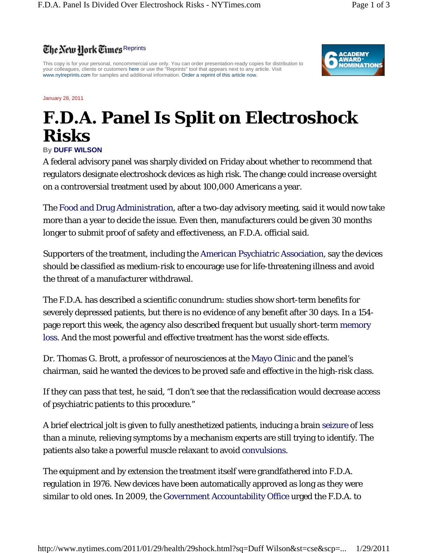## The New Hork Times Reprints

This copy is for your personal, noncommercial use only. You can order presentation-ready copies for distribution to your colleagues, clients or customers here or use the "Reprints" tool that appears next to any article. Visit www.nytreprints.com for samples and additional information. Order a reprint of this article now.

## January 28, 2011

## **F.D.A. Panel Is Split on Electroshock Risks**

## **By DUFF WILSON**

A federal advisory panel was sharply divided on Friday about whether to recommend that regulators designate electroshock devices as high risk. The change could increase oversight on a controversial treatment used by about 100,000 Americans a year.

The Food and Drug Administration, after a two-day advisory meeting, said it would now take more than a year to decide the issue. Even then, manufacturers could be given 30 months longer to submit proof of safety and effectiveness, an F.D.A. official said.

Supporters of the treatment, including the American Psychiatric Association, say the devices should be classified as medium-risk to encourage use for life-threatening illness and avoid the threat of a manufacturer withdrawal.

The F.D.A. has described a scientific conundrum: studies show short-term benefits for severely depressed patients, but there is no evidence of any benefit after 30 days. In a 154 page report this week, the agency also described frequent but usually short-term memory loss. And the most powerful and effective treatment has the worst side effects.

Dr. Thomas G. Brott, a professor of neurosciences at the Mayo Clinic and the panel's chairman, said he wanted the devices to be proved safe and effective in the high-risk class.

If they can pass that test, he said, "I don't see that the reclassification would decrease access of psychiatric patients to this procedure."

A brief electrical jolt is given to fully anesthetized patients, inducing a brain seizure of less than a minute, relieving symptoms by a mechanism experts are still trying to identify. The patients also take a powerful muscle relaxant to avoid convulsions.

The equipment and by extension the treatment itself were grandfathered into F.D.A. regulation in 1976. New devices have been automatically approved as long as they were similar to old ones. In 2009, the Government Accountability Office urged the F.D.A. to

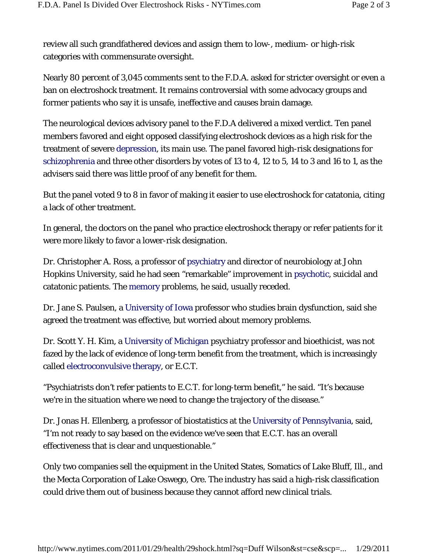review all such grandfathered devices and assign them to low-, medium- or high-risk categories with commensurate oversight.

Nearly 80 percent of 3,045 comments sent to the F.D.A. asked for stricter oversight or even a ban on electroshock treatment. It remains controversial with some advocacy groups and former patients who say it is unsafe, ineffective and causes brain damage.

The neurological devices advisory panel to the F.D.A delivered a mixed verdict. Ten panel members favored and eight opposed classifying electroshock devices as a high risk for the treatment of severe depression, its main use. The panel favored high-risk designations for schizophrenia and three other disorders by votes of 13 to 4, 12 to 5, 14 to 3 and 16 to 1, as the advisers said there was little proof of any benefit for them.

But the panel voted 9 to 8 in favor of making it easier to use electroshock for catatonia, citing a lack of other treatment.

In general, the doctors on the panel who practice electroshock therapy or refer patients for it were more likely to favor a lower-risk designation.

Dr. Christopher A. Ross, a professor of psychiatry and director of neurobiology at John Hopkins University, said he had seen "remarkable" improvement in psychotic, suicidal and catatonic patients. The memory problems, he said, usually receded.

Dr. Jane S. Paulsen, a University of Iowa professor who studies brain dysfunction, said she agreed the treatment was effective, but worried about memory problems.

Dr. Scott Y. H. Kim, a University of Michigan psychiatry professor and bioethicist, was not fazed by the lack of evidence of long-term benefit from the treatment, which is increasingly called electroconvulsive therapy, or E.C.T.

"Psychiatrists don't refer patients to E.C.T. for long-term benefit," he said. "It's because we're in the situation where we need to change the trajectory of the disease."

Dr. Jonas H. Ellenberg, a professor of biostatistics at the University of Pennsylvania, said, "I'm not ready to say based on the evidence we've seen that E.C.T. has an overall effectiveness that is clear and unquestionable."

Only two companies sell the equipment in the United States, Somatics of Lake Bluff, Ill., and the Mecta Corporation of Lake Oswego, Ore. The industry has said a high-risk classification could drive them out of business because they cannot afford new clinical trials.